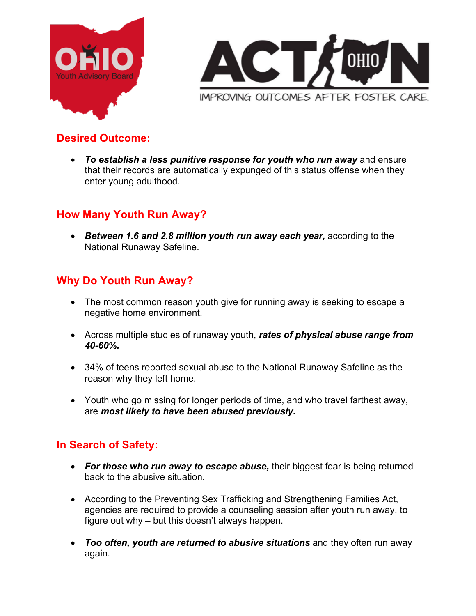



# **Desired Outcome:**

• *To establish a less punitive response for youth who run away* and ensure that their records are automatically expunged of this status offense when they enter young adulthood.

### **How Many Youth Run Away?**

• *Between 1.6 and 2.8 million youth run away each year,* according to the National Runaway Safeline.

# **Why Do Youth Run Away?**

- The most common reason youth give for running away is seeking to escape a negative home environment.
- Across multiple studies of runaway youth, *rates of physical abuse range from 40-60%.*
- 34% of teens reported sexual abuse to the National Runaway Safeline as the reason why they left home.
- Youth who go missing for longer periods of time, and who travel farthest away, are *most likely to have been abused previously.*

### **In Search of Safety:**

- *For those who run away to escape abuse,* their biggest fear is being returned back to the abusive situation.
- According to the Preventing Sex Trafficking and Strengthening Families Act, agencies are required to provide a counseling session after youth run away, to figure out why – but this doesn't always happen.
- *Too often, youth are returned to abusive situations* and they often run away again.